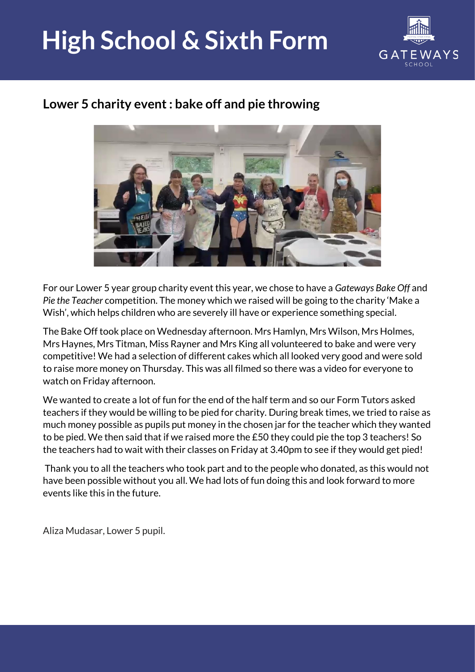## **High School & Sixth Form**



## **Lower 5 charity event : bake off and pie throwing**



For our Lower 5 year group charity event this year, we chose to have a *Gateways Bake Off* and *Pie the Teacher* competition. The money which we raised will be going to the charity 'Make a Wish', which helps children who are severely ill have or experience something special.

The Bake Off took place on Wednesday afternoon. Mrs Hamlyn, Mrs Wilson, Mrs Holmes, Mrs Haynes, Mrs Titman, Miss Rayner and Mrs King all volunteered to bake and were very competitive! We had a selection of different cakes which all looked very good and were sold to raise more money on Thursday. This was all filmed so there was a video for everyone to watch on Friday afternoon.

We wanted to create a lot of fun for the end of the half term and so our Form Tutors asked teachers if they would be willing to be pied for charity. During break times, we tried to raise as much money possible as pupils put money in the chosen jar for the teacher which they wanted to be pied. We then said that if we raised more the £50 they could pie the top 3 teachers! So the teachers had to wait with their classes on Friday at 3.40pm to see if they would get pied!

Thank you to all the teachers who took part and to the people who donated, as this would not have been possible without you all. We had lots of fun doing this and look forward to more events like this in the future.

Aliza Mudasar, Lower 5 pupil.